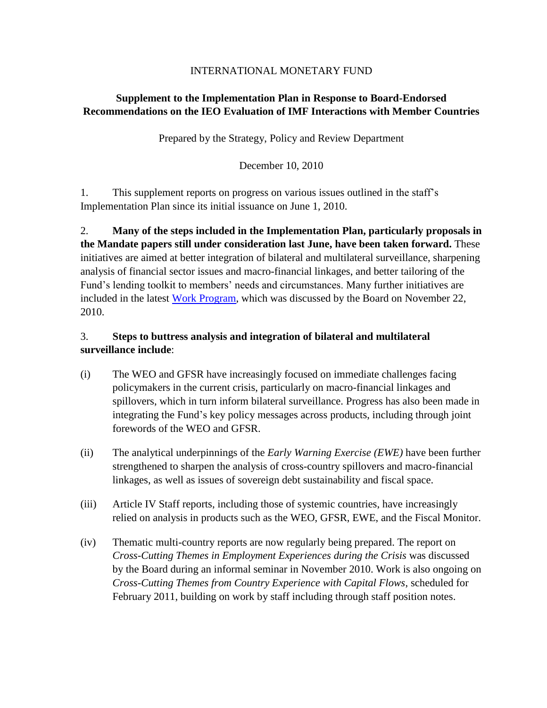#### INTERNATIONAL MONETARY FUND

# **Supplement to the Implementation Plan in Response to Board-Endorsed Recommendations on the IEO Evaluation of IMF Interactions with Member Countries**

Prepared by the Strategy, Policy and Review Department

December 10, 2010

1. This supplement reports on progress on various issues outlined in the staff's Implementation Plan since its initial issuance on June 1, 2010.

2. **Many of the steps included in the Implementation Plan, particularly proposals in the Mandate papers still under consideration last June, have been taken forward.** These initiatives are aimed at better integration of bilateral and multilateral surveillance, sharpening analysis of financial sector issues and macro-financial linkages, and better tailoring of the Fund's lending toolkit to members' needs and circumstances. Many further initiatives are included in the latest [Work Program,](http://www.imf.org/external/np/pp/eng/2010/112210.pdf) which was discussed by the Board on November 22, 2010.

## 3. **Steps to buttress analysis and integration of bilateral and multilateral surveillance include**:

- (i) The WEO and GFSR have increasingly focused on immediate challenges facing policymakers in the current crisis, particularly on macro-financial linkages and spillovers, which in turn inform bilateral surveillance. Progress has also been made in integrating the Fund's key policy messages across products, including through joint forewords of the WEO and GFSR.
- (ii) The analytical underpinnings of the *Early Warning Exercise (EWE)* have been further strengthened to sharpen the analysis of cross-country spillovers and macro-financial linkages, as well as issues of sovereign debt sustainability and fiscal space.
- (iii) Article IV Staff reports, including those of systemic countries, have increasingly relied on analysis in products such as the WEO, GFSR, EWE, and the Fiscal Monitor.
- (iv) Thematic multi-country reports are now regularly being prepared. The report on *Cross-Cutting Themes in Employment Experiences during the Crisis* was discussed by the Board during an informal seminar in November 2010. Work is also ongoing on *Cross-Cutting Themes from Country Experience with Capital Flows*, scheduled for February 2011, building on work by staff including through staff position notes.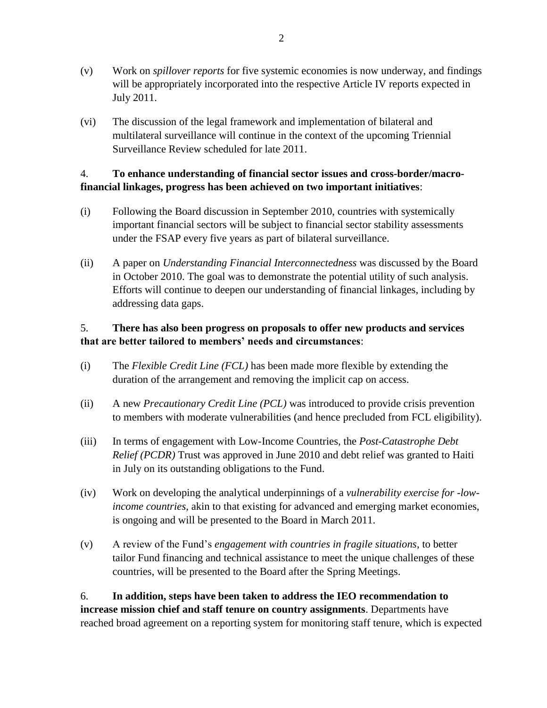- (v) Work on *spillover reports* for five systemic economies is now underway, and findings will be appropriately incorporated into the respective Article IV reports expected in July 2011.
- (vi) The discussion of the legal framework and implementation of bilateral and multilateral surveillance will continue in the context of the upcoming Triennial Surveillance Review scheduled for late 2011.

## 4. **To enhance understanding of financial sector issues and cross-border/macrofinancial linkages, progress has been achieved on two important initiatives**:

- (i) Following the Board discussion in September 2010, countries with systemically important financial sectors will be subject to financial sector stability assessments under the FSAP every five years as part of bilateral surveillance.
- (ii) A paper on *Understanding Financial Interconnectedness* was discussed by the Board in October 2010. The goal was to demonstrate the potential utility of such analysis. Efforts will continue to deepen our understanding of financial linkages, including by addressing data gaps.

# 5. **There has also been progress on proposals to offer new products and services that are better tailored to members' needs and circumstances**:

- (i) The *Flexible Credit Line (FCL)* has been made more flexible by extending the duration of the arrangement and removing the implicit cap on access.
- (ii) A new *Precautionary Credit Line (PCL)* was introduced to provide crisis prevention to members with moderate vulnerabilities (and hence precluded from FCL eligibility).
- (iii) In terms of engagement with Low-Income Countries, the *Post-Catastrophe Debt Relief (PCDR)* Trust was approved in June 2010 and debt relief was granted to Haiti in July on its outstanding obligations to the Fund.
- (iv) Work on developing the analytical underpinnings of a *vulnerability exercise for -lowincome countries,* akin to that existing for advanced and emerging market economies, is ongoing and will be presented to the Board in March 2011.
- (v) A review of the Fund's *engagement with countries in fragile situations*, to better tailor Fund financing and technical assistance to meet the unique challenges of these countries, will be presented to the Board after the Spring Meetings.

6. **In addition, steps have been taken to address the IEO recommendation to increase mission chief and staff tenure on country assignments**. Departments have reached broad agreement on a reporting system for monitoring staff tenure, which is expected